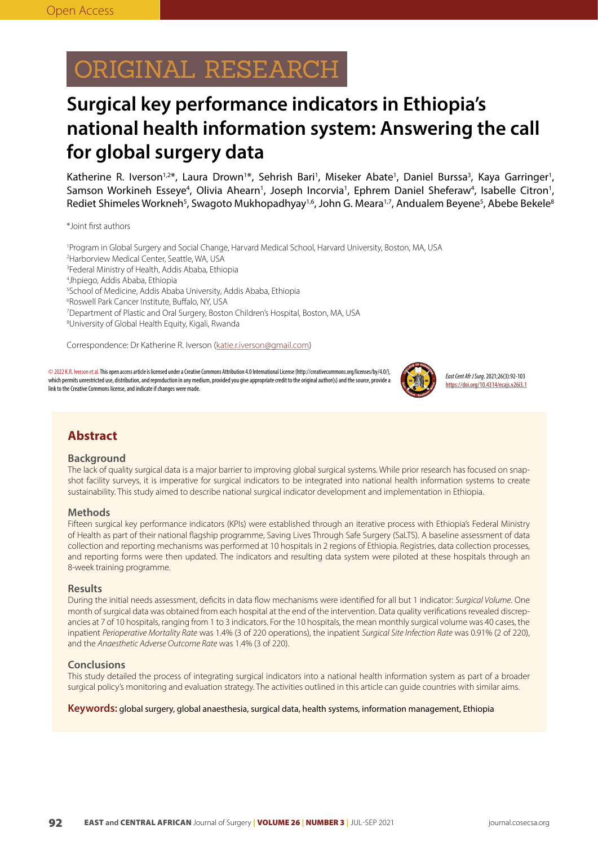# ORIGINAL RESEARCH

## **Surgical key performance indicators in Ethiopia's national health information system: Answering the call for global surgery data**

Katherine R. Iverson<sup>1,2\*</sup>, Laura Drown<sup>1\*</sup>, Sehrish Bari<sup>1</sup>, Miseker Abate<sup>1</sup>, Daniel Burssa<sup>3</sup>, Kaya Garringer<sup>1</sup>, Samson Workineh Esseye<sup>4</sup>, Olivia Ahearn<sup>1</sup>, Joseph Incorvia<sup>1</sup>, Ephrem Daniel Sheferaw<sup>4</sup>, Isabelle Citron<sup>1</sup>, Rediet Shimeles Workneh<sup>5</sup>, Swagoto Mukhopadhyay<sup>1,6</sup>, John G. Meara<sup>1,7</sup>, Andualem Beyene<sup>5</sup>, Abebe Bekele<sup>8</sup>

\*Joint first authors

 Program in Global Surgery and Social Change, Harvard Medical School, Harvard University, Boston, MA, USA Harborview Medical Center, Seattle, WA, USA Federal Ministry of Health, Addis Ababa, Ethiopia Jhpiego, Addis Ababa, Ethiopia School of Medicine, Addis Ababa University, Addis Ababa, Ethiopia Roswell Park Cancer Institute, Buffalo, NY, USA Department of Plastic and Oral Surgery, Boston Children's Hospital, Boston, MA, USA University of Global Health Equity, Kigali, Rwanda

Correspondence: Dr Katherine R. Iverson (katie.r.iverson@gmail.com)

©2022 K.R. Iverson et al. This open access article is licensed under a Creative Commons Attribution 4.0 International License (http://creativecommons.org/licenses/by/4.0/), which permits unrestricted use, distribution, and reproduction in any medium, provided you give appropriate credit to the original author(s) and the source, provide a link to the Creative Commons license, and indicate if changes were made.



*East Cent Afr J Surg*. 2021;26(3):92-103 https://doi.org/10.4314/ecajs.v26i3.1

## **Abstract**

#### **Background**

The lack of quality surgical data is a major barrier to improving global surgical systems. While prior research has focused on snapshot facility surveys, it is imperative for surgical indicators to be integrated into national health information systems to create sustainability. This study aimed to describe national surgical indicator development and implementation in Ethiopia.

#### **Methods**

Fifteen surgical key performance indicators (KPIs) were established through an iterative process with Ethiopia's Federal Ministry of Health as part of their national flagship programme, Saving Lives Through Safe Surgery (SaLTS). A baseline assessment of data collection and reporting mechanisms was performed at 10 hospitals in 2 regions of Ethiopia. Registries, data collection processes, and reporting forms were then updated. The indicators and resulting data system were piloted at these hospitals through an 8-week training programme.

#### **Results**

During the initial needs assessment, deficits in data flow mechanisms were identified for all but 1 indicator: *Surgical Volume*. One month of surgical data was obtained from each hospital at the end of the intervention. Data quality verifications revealed discrepancies at 7 of 10 hospitals, ranging from 1 to 3 indicators. For the 10 hospitals, the mean monthly surgical volume was 40 cases, the inpatient *Perioperative Mortality Rate* was 1.4% (3 of 220 operations), the inpatient *Surgical Site Infection Rate* was 0.91% (2 of 220), and the *Anaesthetic Adverse Outcome Rate* was 1.4% (3 of 220).

#### **Conclusions**

This study detailed the process of integrating surgical indicators into a national health information system as part of a broader surgical policy's monitoring and evaluation strategy. The activities outlined in this article can guide countries with similar aims.

**Keywords:** global surgery, global anaesthesia, surgical data, health systems, information management, Ethiopia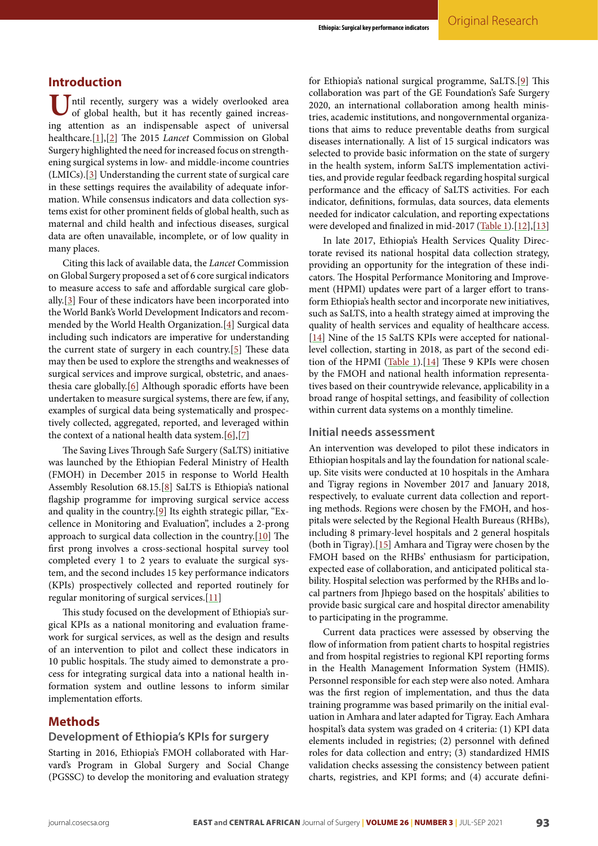## **Introduction**

Intil recently, surgery was a widely overlooked area of global health, but it has recently gained increasing attention as an indispensable aspect of universal healthcare.[\[1\]](#page-9-0),[\[2\]](#page-9-1) The 2015 *Lancet* Commission on Global Surgery highlighted the need for increased focus on strengthening surgical systems in low- and middle-income countries (LMICs).[[3\]](#page-9-2) Understanding the current state of surgical care in these settings requires the availability of adequate information. While consensus indicators and data collection systems exist for other prominent fields of global health, such as maternal and child health and infectious diseases, surgical data are often unavailable, incomplete, or of low quality in many places.

Citing this lack of available data, the *Lancet* Commission on Global Surgery proposed a set of 6 core surgical indicators to measure access to safe and affordable surgical care globally.[\[3](#page-9-2)] Four of these indicators have been incorporated into the World Bank's World Development Indicators and recommended by the World Health Organization.[[4](#page-9-3)] Surgical data including such indicators are imperative for understanding the current state of surgery in each country.[[5\]](#page-9-4) These data may then be used to explore the strengths and weaknesses of surgical services and improve surgical, obstetric, and anaesthesia care globally.[\[6\]](#page-9-5) Although sporadic efforts have been undertaken to measure surgical systems, there are few, if any, examples of surgical data being systematically and prospectively collected, aggregated, reported, and leveraged within the context of a national health data system. $[6]$  $[6]$ , $[7]$  $[7]$ 

The Saving Lives Through Safe Surgery (SaLTS) initiative was launched by the Ethiopian Federal Ministry of Health (FMOH) in December 2015 in response to World Health Assembly Resolution 68.15.[[8\]](#page-9-7) SaLTS is Ethiopia's national flagship programme for improving surgical service access and quality in the country.[\[9\]](#page-9-8) Its eighth strategic pillar, "Excellence in Monitoring and Evaluation", includes a 2-prong approach to surgical data collection in the country.[\[10\]](#page-9-9) The first prong involves a cross-sectional hospital survey tool completed every 1 to 2 years to evaluate the surgical system, and the second includes 15 key performance indicators (KPIs) prospectively collected and reported routinely for regular monitoring of surgical services.[[11](#page-10-0)]

This study focused on the development of Ethiopia's surgical KPIs as a national monitoring and evaluation framework for surgical services, as well as the design and results of an intervention to pilot and collect these indicators in 10 public hospitals. The study aimed to demonstrate a process for integrating surgical data into a national health information system and outline lessons to inform similar implementation efforts.

### **Methods**

## **Development of Ethiopia's KPIs for surgery**

Starting in 2016, Ethiopia's FMOH collaborated with Harvard's Program in Global Surgery and Social Change (PGSSC) to develop the monitoring and evaluation strategy for Ethiopia's national surgical programme, SaLTS.[\[9](#page-9-8)] This collaboration was part of the GE Foundation's Safe Surgery 2020, an international collaboration among health ministries, academic institutions, and nongovernmental organizations that aims to reduce preventable deaths from surgical diseases internationally. A list of 15 surgical indicators was selected to provide basic information on the state of surgery in the health system, inform SaLTS implementation activities, and provide regular feedback regarding hospital surgical performance and the efficacy of SaLTS activities. For each indicator, definitions, formulas, data sources, data elements needed for indicator calculation, and reporting expectations were developed and finalized in mid-2017 [\(Table 1](#page-2-0)).[\[12\]](#page-10-1),[\[13\]](#page-10-2)

In late 2017, Ethiopia's Health Services Quality Directorate revised its national hospital data collection strategy, providing an opportunity for the integration of these indicators. The Hospital Performance Monitoring and Improvement (HPMI) updates were part of a larger effort to transform Ethiopia's health sector and incorporate new initiatives, such as SaLTS, into a health strategy aimed at improving the quality of health services and equality of healthcare access. [\[14\]](#page-10-3) Nine of the 15 SaLTS KPIs were accepted for nationallevel collection, starting in 2018, as part of the second edi-tion of the HPMI [\(Table 1](#page-2-0)).[[14](#page-10-3)] These 9 KPIs were chosen by the FMOH and national health information representatives based on their countrywide relevance, applicability in a broad range of hospital settings, and feasibility of collection within current data systems on a monthly timeline.

#### **Initial needs assessment**

An intervention was developed to pilot these indicators in Ethiopian hospitals and lay the foundation for national scaleup. Site visits were conducted at 10 hospitals in the Amhara and Tigray regions in November 2017 and January 2018, respectively, to evaluate current data collection and reporting methods. Regions were chosen by the FMOH, and hospitals were selected by the Regional Health Bureaus (RHBs), including 8 primary-level hospitals and 2 general hospitals (both in Tigray).[[15\]](#page-10-4) Amhara and Tigray were chosen by the FMOH based on the RHBs' enthusiasm for participation, expected ease of collaboration, and anticipated political stability. Hospital selection was performed by the RHBs and local partners from Jhpiego based on the hospitals' abilities to provide basic surgical care and hospital director amenability to participating in the programme.

Current data practices were assessed by observing the flow of information from patient charts to hospital registries and from hospital registries to regional KPI reporting forms in the Health Management Information System (HMIS). Personnel responsible for each step were also noted. Amhara was the first region of implementation, and thus the data training programme was based primarily on the initial evaluation in Amhara and later adapted for Tigray. Each Amhara hospital's data system was graded on 4 criteria: (1) KPI data elements included in registries; (2) personnel with defined roles for data collection and entry; (3) standardized HMIS validation checks assessing the consistency between patient charts, registries, and KPI forms; and (4) accurate defini-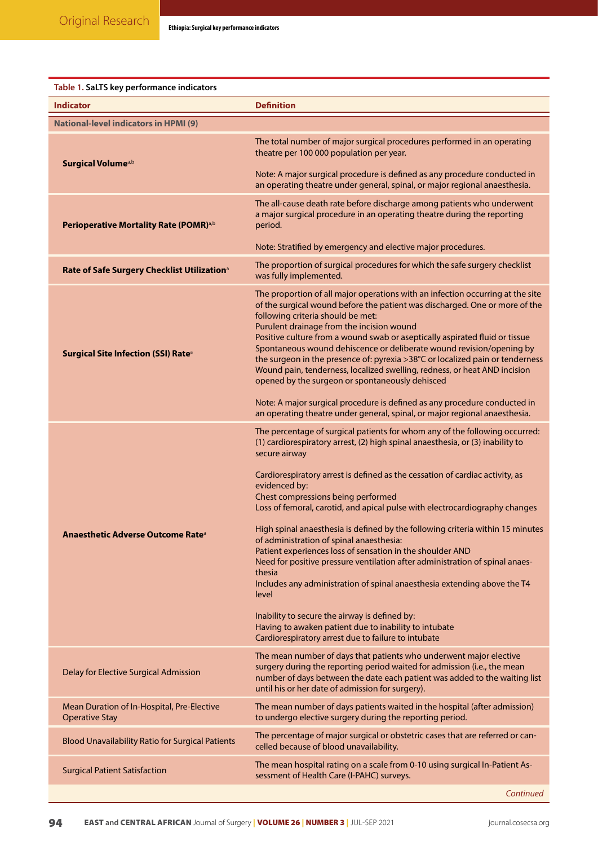<span id="page-2-0"></span>

| Table 1. SaLTS key performance indicators                           |                                                                                                                                                                                                                                                                                                                                                                                                                                                                                                                                                                                                                                                                                                                                                                                                                                                                                                                                                 |  |  |  |  |  |
|---------------------------------------------------------------------|-------------------------------------------------------------------------------------------------------------------------------------------------------------------------------------------------------------------------------------------------------------------------------------------------------------------------------------------------------------------------------------------------------------------------------------------------------------------------------------------------------------------------------------------------------------------------------------------------------------------------------------------------------------------------------------------------------------------------------------------------------------------------------------------------------------------------------------------------------------------------------------------------------------------------------------------------|--|--|--|--|--|
| <b>Indicator</b>                                                    | <b>Definition</b>                                                                                                                                                                                                                                                                                                                                                                                                                                                                                                                                                                                                                                                                                                                                                                                                                                                                                                                               |  |  |  |  |  |
| <b>National-level indicators in HPMI (9)</b>                        |                                                                                                                                                                                                                                                                                                                                                                                                                                                                                                                                                                                                                                                                                                                                                                                                                                                                                                                                                 |  |  |  |  |  |
| Surgical Volume <sup>a,b</sup>                                      | The total number of major surgical procedures performed in an operating<br>theatre per 100 000 population per year.<br>Note: A major surgical procedure is defined as any procedure conducted in                                                                                                                                                                                                                                                                                                                                                                                                                                                                                                                                                                                                                                                                                                                                                |  |  |  |  |  |
|                                                                     | an operating theatre under general, spinal, or major regional anaesthesia.                                                                                                                                                                                                                                                                                                                                                                                                                                                                                                                                                                                                                                                                                                                                                                                                                                                                      |  |  |  |  |  |
| Perioperative Mortality Rate (POMR) <sup>a,b</sup>                  | The all-cause death rate before discharge among patients who underwent<br>a major surgical procedure in an operating theatre during the reporting<br>period.                                                                                                                                                                                                                                                                                                                                                                                                                                                                                                                                                                                                                                                                                                                                                                                    |  |  |  |  |  |
|                                                                     | Note: Stratified by emergency and elective major procedures.                                                                                                                                                                                                                                                                                                                                                                                                                                                                                                                                                                                                                                                                                                                                                                                                                                                                                    |  |  |  |  |  |
| Rate of Safe Surgery Checklist Utilization <sup>a</sup>             | The proportion of surgical procedures for which the safe surgery checklist<br>was fully implemented.                                                                                                                                                                                                                                                                                                                                                                                                                                                                                                                                                                                                                                                                                                                                                                                                                                            |  |  |  |  |  |
| Surgical Site Infection (SSI) Rate <sup>a</sup>                     | The proportion of all major operations with an infection occurring at the site<br>of the surgical wound before the patient was discharged. One or more of the<br>following criteria should be met:<br>Purulent drainage from the incision wound<br>Positive culture from a wound swab or aseptically aspirated fluid or tissue<br>Spontaneous wound dehiscence or deliberate wound revision/opening by<br>the surgeon in the presence of: pyrexia >38°C or localized pain or tenderness<br>Wound pain, tenderness, localized swelling, redness, or heat AND incision<br>opened by the surgeon or spontaneously dehisced                                                                                                                                                                                                                                                                                                                         |  |  |  |  |  |
|                                                                     | Note: A major surgical procedure is defined as any procedure conducted in<br>an operating theatre under general, spinal, or major regional anaesthesia.                                                                                                                                                                                                                                                                                                                                                                                                                                                                                                                                                                                                                                                                                                                                                                                         |  |  |  |  |  |
| Anaesthetic Adverse Outcome Rate <sup>a</sup>                       | The percentage of surgical patients for whom any of the following occurred:<br>(1) cardiorespiratory arrest, (2) high spinal anaesthesia, or (3) inability to<br>secure airway<br>Cardiorespiratory arrest is defined as the cessation of cardiac activity, as<br>evidenced by:<br>Chest compressions being performed<br>Loss of femoral, carotid, and apical pulse with electrocardiography changes<br>High spinal anaesthesia is defined by the following criteria within 15 minutes<br>of administration of spinal anaesthesia:<br>Patient experiences loss of sensation in the shoulder AND<br>Need for positive pressure ventilation after administration of spinal anaes-<br>thesia<br>Includes any administration of spinal anaesthesia extending above the T4<br>level<br>Inability to secure the airway is defined by:<br>Having to awaken patient due to inability to intubate<br>Cardiorespiratory arrest due to failure to intubate |  |  |  |  |  |
| Delay for Elective Surgical Admission                               | The mean number of days that patients who underwent major elective<br>surgery during the reporting period waited for admission (i.e., the mean<br>number of days between the date each patient was added to the waiting list<br>until his or her date of admission for surgery).                                                                                                                                                                                                                                                                                                                                                                                                                                                                                                                                                                                                                                                                |  |  |  |  |  |
| Mean Duration of In-Hospital, Pre-Elective<br><b>Operative Stay</b> | The mean number of days patients waited in the hospital (after admission)<br>to undergo elective surgery during the reporting period.                                                                                                                                                                                                                                                                                                                                                                                                                                                                                                                                                                                                                                                                                                                                                                                                           |  |  |  |  |  |
| <b>Blood Unavailability Ratio for Surgical Patients</b>             | The percentage of major surgical or obstetric cases that are referred or can-<br>celled because of blood unavailability.                                                                                                                                                                                                                                                                                                                                                                                                                                                                                                                                                                                                                                                                                                                                                                                                                        |  |  |  |  |  |
| <b>Surgical Patient Satisfaction</b>                                | The mean hospital rating on a scale from 0-10 using surgical In-Patient As-<br>sessment of Health Care (I-PAHC) surveys.                                                                                                                                                                                                                                                                                                                                                                                                                                                                                                                                                                                                                                                                                                                                                                                                                        |  |  |  |  |  |
|                                                                     | Continued                                                                                                                                                                                                                                                                                                                                                                                                                                                                                                                                                                                                                                                                                                                                                                                                                                                                                                                                       |  |  |  |  |  |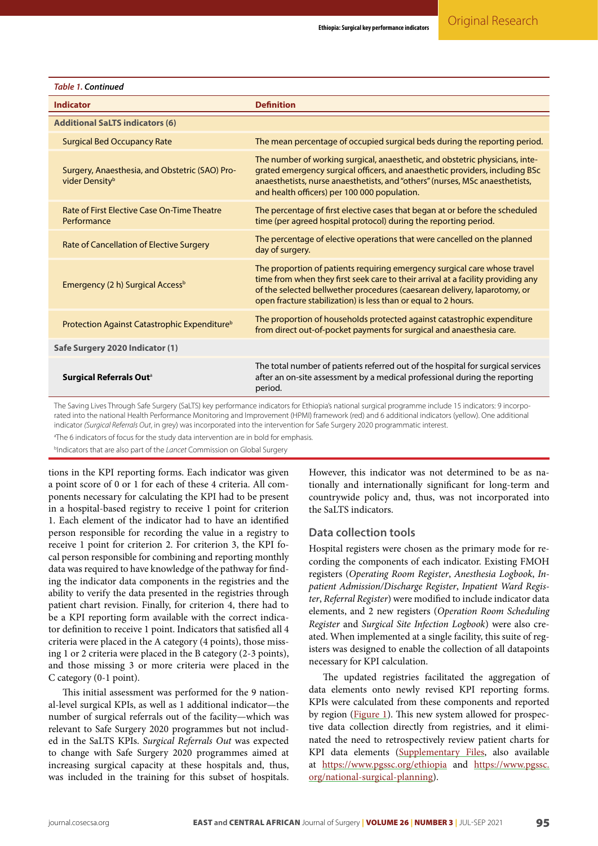| <b>Table 1. Continued</b>                                                                                                                             |                                                                                                                                                                                                                                                                                                              |  |  |  |  |  |
|-------------------------------------------------------------------------------------------------------------------------------------------------------|--------------------------------------------------------------------------------------------------------------------------------------------------------------------------------------------------------------------------------------------------------------------------------------------------------------|--|--|--|--|--|
| <b>Indicator</b>                                                                                                                                      | <b>Definition</b>                                                                                                                                                                                                                                                                                            |  |  |  |  |  |
| <b>Additional SaLTS indicators (6)</b>                                                                                                                |                                                                                                                                                                                                                                                                                                              |  |  |  |  |  |
| <b>Surgical Bed Occupancy Rate</b>                                                                                                                    | The mean percentage of occupied surgical beds during the reporting period.                                                                                                                                                                                                                                   |  |  |  |  |  |
| Surgery, Anaesthesia, and Obstetric (SAO) Pro-<br>vider Density <sup>b</sup>                                                                          | The number of working surgical, anaesthetic, and obstetric physicians, inte-<br>grated emergency surgical officers, and anaesthetic providers, including BSc<br>anaesthetists, nurse anaesthetists, and "others" (nurses, MSc anaesthetists,<br>and health officers) per 100 000 population.                 |  |  |  |  |  |
| <b>Rate of First Elective Case On-Time Theatre</b><br>Performance                                                                                     | The percentage of first elective cases that began at or before the scheduled<br>time (per agreed hospital protocol) during the reporting period.                                                                                                                                                             |  |  |  |  |  |
| Rate of Cancellation of Elective Surgery                                                                                                              | The percentage of elective operations that were cancelled on the planned<br>day of surgery.                                                                                                                                                                                                                  |  |  |  |  |  |
| Emergency (2 h) Surgical Access <sup>b</sup>                                                                                                          | The proportion of patients requiring emergency surgical care whose travel<br>time from when they first seek care to their arrival at a facility providing any<br>of the selected bellwether procedures (caesarean delivery, laparotomy, or<br>open fracture stabilization) is less than or equal to 2 hours. |  |  |  |  |  |
| Protection Against Catastrophic Expenditure <sup>b</sup>                                                                                              | The proportion of households protected against catastrophic expenditure<br>from direct out-of-pocket payments for surgical and anaesthesia care.                                                                                                                                                             |  |  |  |  |  |
| Safe Surgery 2020 Indicator (1)                                                                                                                       |                                                                                                                                                                                                                                                                                                              |  |  |  |  |  |
| Surgical Referrals Out <sup>a</sup>                                                                                                                   | The total number of patients referred out of the hospital for surgical services<br>after an on-site assessment by a medical professional during the reporting<br>period.                                                                                                                                     |  |  |  |  |  |
| The Saving Lives Through Safe Surgery (SaLTS) key performance indicators for Ethiopia's national surgical programme include 15 indicators: 9 incorpo- |                                                                                                                                                                                                                                                                                                              |  |  |  |  |  |

The Saving Lives Through Safe Surgery (SaLTS) key performance indicators for Ethiopia's national surgical programme include 15 indicators: 9 incorporated into the national Health Performance Monitoring and Improvement (HPMI) framework (red) and 6 additional indicators (yellow). One additional indicator *(Surgical Referrals Out*, in grey) was incorporated into the intervention for Safe Surgery 2020 programmatic interest.

<sup>a</sup>The 6 indicators of focus for the study data intervention are in bold for emphasis.

b Indicators that are also part of the *Lancet* Commission on Global Surgery

tions in the KPI reporting forms. Each indicator was given a point score of 0 or 1 for each of these 4 criteria. All components necessary for calculating the KPI had to be present in a hospital-based registry to receive 1 point for criterion 1. Each element of the indicator had to have an identified person responsible for recording the value in a registry to receive 1 point for criterion 2. For criterion 3, the KPI focal person responsible for combining and reporting monthly data was required to have knowledge of the pathway for finding the indicator data components in the registries and the ability to verify the data presented in the registries through patient chart revision. Finally, for criterion 4, there had to be a KPI reporting form available with the correct indicator definition to receive 1 point. Indicators that satisfied all 4 criteria were placed in the A category (4 points), those missing 1 or 2 criteria were placed in the B category (2-3 points), and those missing 3 or more criteria were placed in the C category (0-1 point).

This initial assessment was performed for the 9 national-level surgical KPIs, as well as 1 additional indicator—the number of surgical referrals out of the facility—which was relevant to Safe Surgery 2020 programmes but not included in the SaLTS KPIs. *Surgical Referrals Out* was expected to change with Safe Surgery 2020 programmes aimed at increasing surgical capacity at these hospitals and, thus, was included in the training for this subset of hospitals.

However, this indicator was not determined to be as nationally and internationally significant for long-term and countrywide policy and, thus, was not incorporated into the SaLTS indicators.

#### **Data collection tools**

Hospital registers were chosen as the primary mode for recording the components of each indicator. Existing FMOH registers (*Operating Room Register*, *Anesthesia Logbook*, *Inpatient Admission/Discharge Register*, *Inpatient Ward Register*, *Referral Register*) were modified to include indicator data elements, and 2 new registers (*Operation Room Scheduling Register* and *Surgical Site Infection Logbook*) were also created. When implemented at a single facility, this suite of registers was designed to enable the collection of all datapoints necessary for KPI calculation.

The updated registries facilitated the aggregation of data elements onto newly revised KPI reporting forms. KPIs were calculated from these components and reported by region [\(Figure 1\)](#page-4-0). This new system allowed for prospective data collection directly from registries, and it eliminated the need to retrospectively review patient charts for KPI data elements [\(Supplementary Files](http://journal.cosecsa.org/index.php/ECAJS/20210003-supp), also available at <https://www.pgssc.org/ethiopia> and [https://www.pgssc.](https://www.pgssc.org/national-surgical-planning) [org/national-surgical-planning](https://www.pgssc.org/national-surgical-planning)).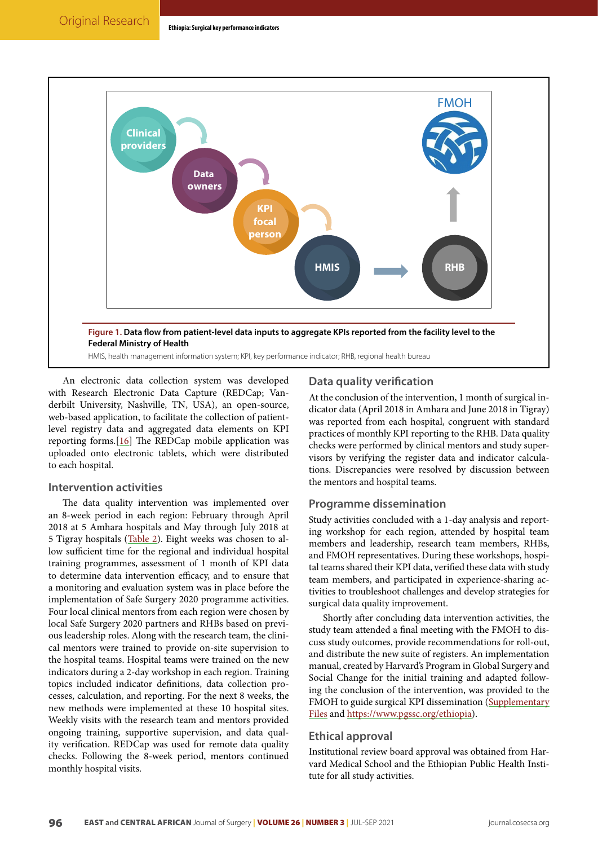<span id="page-4-0"></span>

An electronic data collection system was developed with Research Electronic Data Capture (REDCap; Vanderbilt University, Nashville, TN, USA), an open-source, web-based application, to facilitate the collection of patientlevel registry data and aggregated data elements on KPI reporting forms.[[16](#page-10-5)] The REDCap mobile application was uploaded onto electronic tablets, which were distributed to each hospital.

### **Intervention activities**

The data quality intervention was implemented over an 8-week period in each region: February through April 2018 at 5 Amhara hospitals and May through July 2018 at 5 Tigray hospitals [\(Table 2](#page-5-0)). Eight weeks was chosen to allow sufficient time for the regional and individual hospital training programmes, assessment of 1 month of KPI data to determine data intervention efficacy, and to ensure that a monitoring and evaluation system was in place before the implementation of Safe Surgery 2020 programme activities. Four local clinical mentors from each region were chosen by local Safe Surgery 2020 partners and RHBs based on previous leadership roles. Along with the research team, the clinical mentors were trained to provide on-site supervision to the hospital teams. Hospital teams were trained on the new indicators during a 2-day workshop in each region. Training topics included indicator definitions, data collection processes, calculation, and reporting. For the next 8 weeks, the new methods were implemented at these 10 hospital sites. Weekly visits with the research team and mentors provided ongoing training, supportive supervision, and data quality verification. REDCap was used for remote data quality checks. Following the 8-week period, mentors continued monthly hospital visits.

## **Data quality verification**

At the conclusion of the intervention, 1 month of surgical indicator data (April 2018 in Amhara and June 2018 in Tigray) was reported from each hospital, congruent with standard practices of monthly KPI reporting to the RHB. Data quality checks were performed by clinical mentors and study supervisors by verifying the register data and indicator calculations. Discrepancies were resolved by discussion between the mentors and hospital teams.

### **Programme dissemination**

Study activities concluded with a 1-day analysis and reporting workshop for each region, attended by hospital team members and leadership, research team members, RHBs, and FMOH representatives. During these workshops, hospital teams shared their KPI data, verified these data with study team members, and participated in experience-sharing activities to troubleshoot challenges and develop strategies for surgical data quality improvement.

Shortly after concluding data intervention activities, the study team attended a final meeting with the FMOH to discuss study outcomes, provide recommendations for roll-out, and distribute the new suite of registers. An implementation manual, created by Harvard's Program in Global Surgery and Social Change for the initial training and adapted following the conclusion of the intervention, was provided to the FMOH to guide surgical KPI dissemination ([Supplementary](http://journal.cosecsa.org/index.php/ECAJS/20210003-supp) [Files](http://journal.cosecsa.org/index.php/ECAJS/20210003-supp) and [https://www.pgssc.org/ethiopia\)](https://www.pgssc.org/ethiopia).

### **Ethical approval**

Institutional review board approval was obtained from Harvard Medical School and the Ethiopian Public Health Institute for all study activities.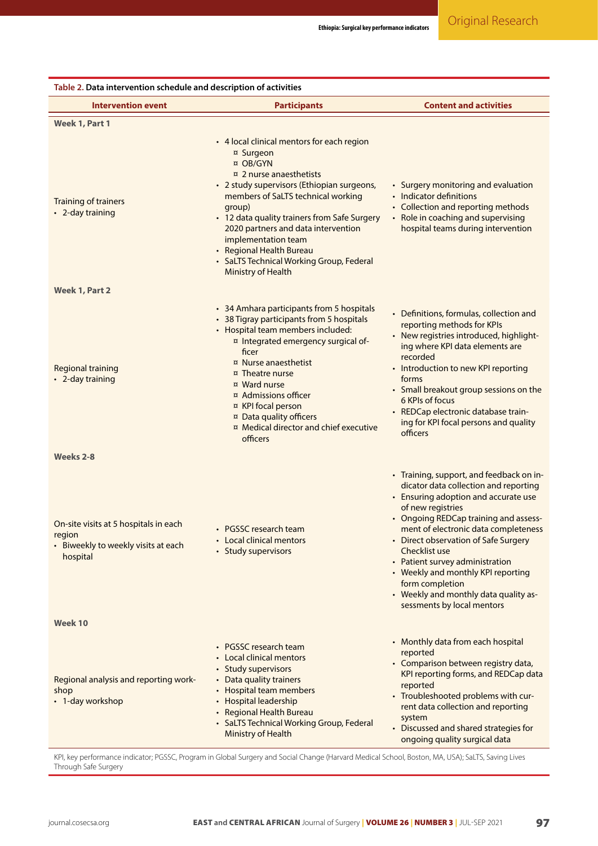<span id="page-5-0"></span>

| Table 2. Data intervention schedule and description of activities                                  |                                                                                                                                                                                                                                                                                                                                                                                                                       |                                                                                                                                                                                                                                                                                                                                                                                                                                                             |
|----------------------------------------------------------------------------------------------------|-----------------------------------------------------------------------------------------------------------------------------------------------------------------------------------------------------------------------------------------------------------------------------------------------------------------------------------------------------------------------------------------------------------------------|-------------------------------------------------------------------------------------------------------------------------------------------------------------------------------------------------------------------------------------------------------------------------------------------------------------------------------------------------------------------------------------------------------------------------------------------------------------|
| <b>Intervention event</b>                                                                          | <b>Participants</b>                                                                                                                                                                                                                                                                                                                                                                                                   | <b>Content and activities</b>                                                                                                                                                                                                                                                                                                                                                                                                                               |
| Week 1, Part 1                                                                                     |                                                                                                                                                                                                                                                                                                                                                                                                                       |                                                                                                                                                                                                                                                                                                                                                                                                                                                             |
| Training of trainers<br>• 2-day training                                                           | • 4 local clinical mentors for each region<br>¤ Surgeon<br>¤ OB/GYN<br>$\overline{a}$ 2 nurse anaesthetists<br>• 2 study supervisors (Ethiopian surgeons,<br>members of SaLTS technical working<br>group)<br>• 12 data quality trainers from Safe Surgery<br>2020 partners and data intervention<br>implementation team<br>• Regional Health Bureau<br>• SaLTS Technical Working Group, Federal<br>Ministry of Health | • Surgery monitoring and evaluation<br>• Indicator definitions<br>• Collection and reporting methods<br>• Role in coaching and supervising<br>hospital teams during intervention                                                                                                                                                                                                                                                                            |
| Week 1, Part 2                                                                                     |                                                                                                                                                                                                                                                                                                                                                                                                                       |                                                                                                                                                                                                                                                                                                                                                                                                                                                             |
| <b>Regional training</b><br>• 2-day training                                                       | • 34 Amhara participants from 5 hospitals<br>• 38 Tigray participants from 5 hospitals<br>• Hospital team members included:<br>¤ Integrated emergency surgical of-<br>ficer<br>¤ Nurse anaesthetist<br>¤ Theatre nurse<br>¤ Ward nurse<br>¤ Admissions officer<br>¤ KPI focal person<br>¤ Data quality officers<br>¤ Medical director and chief executive<br>officers                                                 | • Definitions, formulas, collection and<br>reporting methods for KPIs<br>• New registries introduced, highlight-<br>ing where KPI data elements are<br>recorded<br>• Introduction to new KPI reporting<br>forms<br>• Small breakout group sessions on the<br>6 KPIs of focus<br>• REDCap electronic database train-<br>ing for KPI focal persons and quality<br>officers                                                                                    |
| Weeks 2-8                                                                                          |                                                                                                                                                                                                                                                                                                                                                                                                                       |                                                                                                                                                                                                                                                                                                                                                                                                                                                             |
| On-site visits at 5 hospitals in each<br>region<br>• Biweekly to weekly visits at each<br>hospital | • PGSSC research team<br>• Local clinical mentors<br>• Study supervisors                                                                                                                                                                                                                                                                                                                                              | • Training, support, and feedback on in-<br>dicator data collection and reporting<br>• Ensuring adoption and accurate use<br>of new registries<br>• Ongoing REDCap training and assess-<br>ment of electronic data completeness<br>• Direct observation of Safe Surgery<br>Checklist use<br>• Patient survey administration<br>• Weekly and monthly KPI reporting<br>form completion<br>• Weekly and monthly data quality as-<br>sessments by local mentors |
| Week 10                                                                                            |                                                                                                                                                                                                                                                                                                                                                                                                                       |                                                                                                                                                                                                                                                                                                                                                                                                                                                             |
| Regional analysis and reporting work-<br>shop<br>• 1-day workshop                                  | • PGSSC research team<br>• Local clinical mentors<br>• Study supervisors<br>• Data quality trainers<br>• Hospital team members<br>• Hospital leadership<br>• Regional Health Bureau<br>• SaLTS Technical Working Group, Federal<br>Ministry of Health                                                                                                                                                                 | • Monthly data from each hospital<br>reported<br>• Comparison between registry data,<br>KPI reporting forms, and REDCap data<br>reported<br>• Troubleshooted problems with cur-<br>rent data collection and reporting<br>system<br>• Discussed and shared strategies for<br>ongoing quality surgical data                                                                                                                                                   |

KPI, key performance indicator; PGSSC, Program in Global Surgery and Social Change (Harvard Medical School, Boston, MA, USA); SaLTS, Saving Lives Through Safe Surgery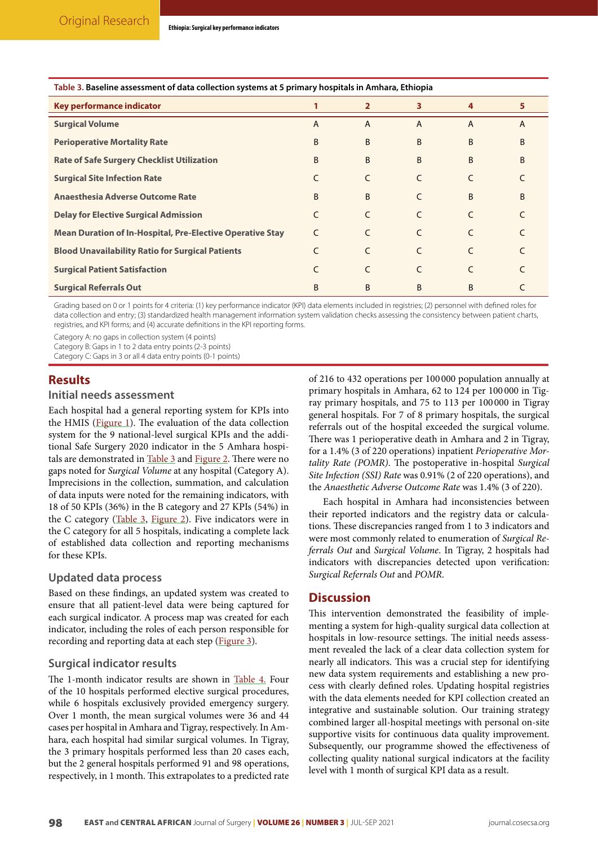#### <span id="page-6-0"></span>**Table 3. Baseline assessment of data collection systems at 5 primary hospitals in Amhara, Ethiopia**

| Key performance indicator                                        |                | $\overline{2}$ | 3              | 4              | 5              |
|------------------------------------------------------------------|----------------|----------------|----------------|----------------|----------------|
| <b>Surgical Volume</b>                                           | $\overline{A}$ | $\overline{A}$ | $\overline{A}$ | $\overline{A}$ | $\overline{A}$ |
| <b>Perioperative Mortality Rate</b>                              | B              | B              | B              | B              | B              |
| <b>Rate of Safe Surgery Checklist Utilization</b>                | B              | B              | B              | B              | B              |
| <b>Surgical Site Infection Rate</b>                              |                | C              | C              |                |                |
| <b>Anaesthesia Adverse Outcome Rate</b>                          | B              | B              | C              | B              | B              |
| <b>Delay for Elective Surgical Admission</b>                     | C              | C              | $\epsilon$     | C              |                |
| <b>Mean Duration of In-Hospital, Pre-Elective Operative Stay</b> | C              | C              | C              |                |                |
| <b>Blood Unavailability Ratio for Surgical Patients</b>          |                | C              | C              | C              |                |
| <b>Surgical Patient Satisfaction</b>                             |                | C              | C              |                |                |
| <b>Surgical Referrals Out</b>                                    | B              | B              | B              | B              |                |

Grading based on 0 or 1 points for 4 criteria: (1) key performance indicator (KPI) data elements included in registries; (2) personnel with defined roles for data collection and entry; (3) standardized health management information system validation checks assessing the consistency between patient charts, registries, and KPI forms; and (4) accurate definitions in the KPI reporting forms.

Category A: no gaps in collection system (4 points)

Category B: Gaps in 1 to 2 data entry points (2-3 points)

Category C: Gaps in 3 or all 4 data entry points (0-1 points)

## **Results**

#### **Initial needs assessment**

Each hospital had a general reporting system for KPIs into the HMIS [\(Figure 1](#page-4-0)). The evaluation of the data collection system for the 9 national-level surgical KPIs and the additional Safe Surgery 2020 indicator in the 5 Amhara hospitals are demonstrated in [Table 3](#page-6-0) and [Figure 2.](#page-8-0) There were no gaps noted for *Surgical Volume* at any hospital (Category A). Imprecisions in the collection, summation, and calculation of data inputs were noted for the remaining indicators, with 18 of 50 KPIs (36%) in the B category and 27 KPIs (54%) in the C category [\(Table 3,](#page-6-0) [Figure 2\)](#page-8-0). Five indicators were in the C category for all 5 hospitals, indicating a complete lack of established data collection and reporting mechanisms for these KPIs.

## **Updated data process**

Based on these findings, an updated system was created to ensure that all patient-level data were being captured for each surgical indicator. A process map was created for each indicator, including the roles of each person responsible for recording and reporting data at each step ([Figure 3](#page-8-1)).

## **Surgical indicator results**

The 1-month indicator results are shown in [Table 4.](#page-7-0) Four of the 10 hospitals performed elective surgical procedures, while 6 hospitals exclusively provided emergency surgery. Over 1 month, the mean surgical volumes were 36 and 44 cases per hospital in Amhara and Tigray, respectively. In Amhara, each hospital had similar surgical volumes. In Tigray, the 3 primary hospitals performed less than 20 cases each, but the 2 general hospitals performed 91 and 98 operations, respectively, in 1 month. This extrapolates to a predicted rate

of 216 to 432 operations per 100 000 population annually at primary hospitals in Amhara, 62 to 124 per 100 000 in Tigray primary hospitals, and 75 to 113 per 100 000 in Tigray general hospitals. For 7 of 8 primary hospitals, the surgical referrals out of the hospital exceeded the surgical volume. There was 1 perioperative death in Amhara and 2 in Tigray, for a 1.4% (3 of 220 operations) inpatient *Perioperative Mortality Rate (POMR)*. The postoperative in-hospital *Surgical Site Infection (SSI) Rate* was 0.91% (2 of 220 operations), and the *Anaesthetic Adverse Outcome Rate* was 1.4% (3 of 220).

Each hospital in Amhara had inconsistencies between their reported indicators and the registry data or calculations. These discrepancies ranged from 1 to 3 indicators and were most commonly related to enumeration of *Surgical Referrals Out* and *Surgical Volume*. In Tigray, 2 hospitals had indicators with discrepancies detected upon verification: *Surgical Referrals Out* and *POMR*.

## **Discussion**

This intervention demonstrated the feasibility of implementing a system for high-quality surgical data collection at hospitals in low-resource settings. The initial needs assessment revealed the lack of a clear data collection system for nearly all indicators. This was a crucial step for identifying new data system requirements and establishing a new process with clearly defined roles. Updating hospital registries with the data elements needed for KPI collection created an integrative and sustainable solution. Our training strategy combined larger all-hospital meetings with personal on-site supportive visits for continuous data quality improvement. Subsequently, our programme showed the effectiveness of collecting quality national surgical indicators at the facility level with 1 month of surgical KPI data as a result.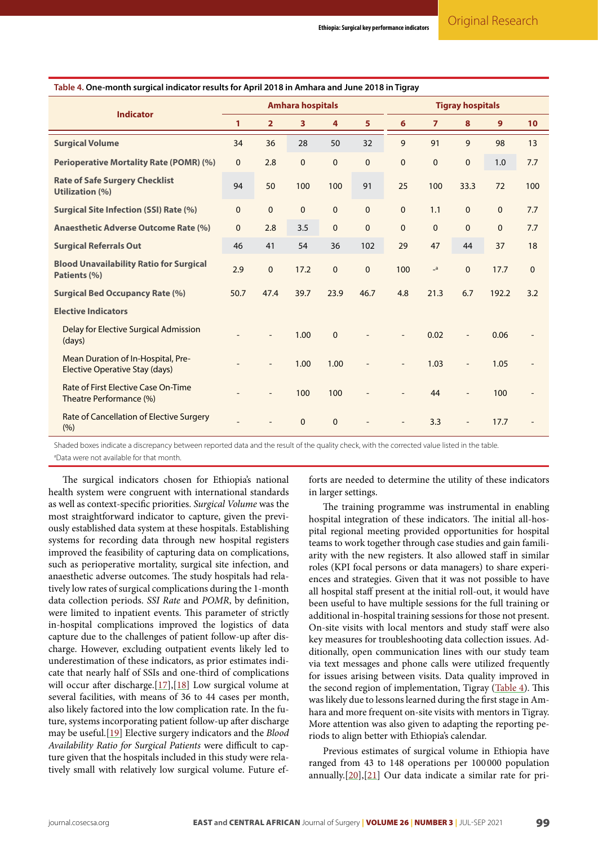| <b>Indicator</b>                                                     | <b>Amhara hospitals</b> |                |                |              |              | <b>Tigray hospitals</b> |                |              |          |              |
|----------------------------------------------------------------------|-------------------------|----------------|----------------|--------------|--------------|-------------------------|----------------|--------------|----------|--------------|
|                                                                      | 1                       | $\overline{2}$ | 3 <sup>1</sup> | 4            | 5            | 6                       | $\overline{7}$ | 8            | 9        | 10           |
| <b>Surgical Volume</b>                                               | 34                      | 36             | 28             | 50           | 32           | 9                       | 91             | 9            | 98       | 13           |
| <b>Perioperative Mortality Rate (POMR) (%)</b>                       | $\mathbf 0$             | 2.8            | $\mathbf 0$    | $\mathbf{0}$ | $\mathbf 0$  | $\mathbf{0}$            | $\mathbf 0$    | $\mathbf{0}$ | 1.0      | 7.7          |
| <b>Rate of Safe Surgery Checklist</b><br><b>Utilization (%)</b>      | 94                      | 50             | 100            | 100          | 91           | 25                      | 100            | 33.3         | 72       | 100          |
| <b>Surgical Site Infection (SSI) Rate (%)</b>                        | $\mathbf 0$             | $\mathbf{0}$   | $\Omega$       | $\Omega$     | $\mathbf{0}$ | $\mathbf{0}$            | 1.1            | $\mathbf{0}$ | $\Omega$ | 7.7          |
| <b>Anaesthetic Adverse Outcome Rate (%)</b>                          | $\mathbf 0$             | 2.8            | 3.5            | $\mathbf{0}$ | $\mathbf{0}$ | $\mathbf{0}$            | $\mathbf{0}$   | $\mathbf{0}$ | $\Omega$ | 7.7          |
| <b>Surgical Referrals Out</b>                                        | 46                      | 41             | 54             | 36           | 102          | 29                      | 47             | 44           | 37       | 18           |
| <b>Blood Unavailability Ratio for Surgical</b><br>Patients (%)       | 2.9                     | $\mathbf{0}$   | 17.2           | $\mathbf{0}$ | $\mathbf 0$  | 100                     | $\mathsf{a}$   | $\mathbf{0}$ | 17.7     | $\mathbf{0}$ |
| <b>Surgical Bed Occupancy Rate (%)</b>                               | 50.7                    | 47.4           | 39.7           | 23.9         | 46.7         | 4.8                     | 21.3           | 6.7          | 192.2    | 3.2          |
| <b>Elective Indicators</b>                                           |                         |                |                |              |              |                         |                |              |          |              |
| Delay for Elective Surgical Admission<br>(days)                      |                         |                | 1.00           | $\Omega$     |              |                         | 0.02           |              | 0.06     |              |
| Mean Duration of In-Hospital, Pre-<br>Elective Operative Stay (days) |                         |                | 1.00           | 1.00         |              |                         | 1.03           |              | 1.05     |              |
| Rate of First Elective Case On-Time<br>Theatre Performance (%)       |                         |                | 100            | 100          |              |                         | 44             |              | 100      |              |
| Rate of Cancellation of Elective Surgery<br>(%)                      |                         |                | $\Omega$       | $\mathbf{0}$ |              |                         | 3.3            |              | 17.7     |              |

<span id="page-7-0"></span>**Table 4. One-month surgical indicator results for April 2018 in Amhara and June 2018 in Tigray**

Shaded boxes indicate a discrepancy between reported data and the result of the quality check, with the corrected value listed in the table. a Data were not available for that month.

The surgical indicators chosen for Ethiopia's national health system were congruent with international standards as well as context-specific priorities. *Surgical Volume* was the most straightforward indicator to capture, given the previously established data system at these hospitals. Establishing systems for recording data through new hospital registers improved the feasibility of capturing data on complications, such as perioperative mortality, surgical site infection, and anaesthetic adverse outcomes. The study hospitals had relatively low rates of surgical complications during the 1-month data collection periods. *SSI Rate* and *POMR*, by definition, were limited to inpatient events. This parameter of strictly in-hospital complications improved the logistics of data capture due to the challenges of patient follow-up after discharge. However, excluding outpatient events likely led to underestimation of these indicators, as prior estimates indicate that nearly half of SSIs and one-third of complications will occur after discharge.[\[17\]](#page-10-6),[\[18\]](#page-10-7) Low surgical volume at several facilities, with means of 36 to 44 cases per month, also likely factored into the low complication rate. In the future, systems incorporating patient follow-up after discharge may be useful.[\[19\]](#page-10-8) Elective surgery indicators and the *Blood Availability Ratio for Surgical Patients* were difficult to capture given that the hospitals included in this study were relatively small with relatively low surgical volume. Future efforts are needed to determine the utility of these indicators in larger settings.

The training programme was instrumental in enabling hospital integration of these indicators. The initial all-hospital regional meeting provided opportunities for hospital teams to work together through case studies and gain familiarity with the new registers. It also allowed staff in similar roles (KPI focal persons or data managers) to share experiences and strategies. Given that it was not possible to have all hospital staff present at the initial roll-out, it would have been useful to have multiple sessions for the full training or additional in-hospital training sessions for those not present. On-site visits with local mentors and study staff were also key measures for troubleshooting data collection issues. Additionally, open communication lines with our study team via text messages and phone calls were utilized frequently for issues arising between visits. Data quality improved in the second region of implementation, Tigray ([Table 4\)](#page-7-0). This was likely due to lessons learned during the first stage in Amhara and more frequent on-site visits with mentors in Tigray. More attention was also given to adapting the reporting periods to align better with Ethiopia's calendar.

Previous estimates of surgical volume in Ethiopia have ranged from 43 to 148 operations per 100 000 population annually. $[20]$ , $[21]$  $[21]$  $[21]$  Our data indicate a similar rate for pri-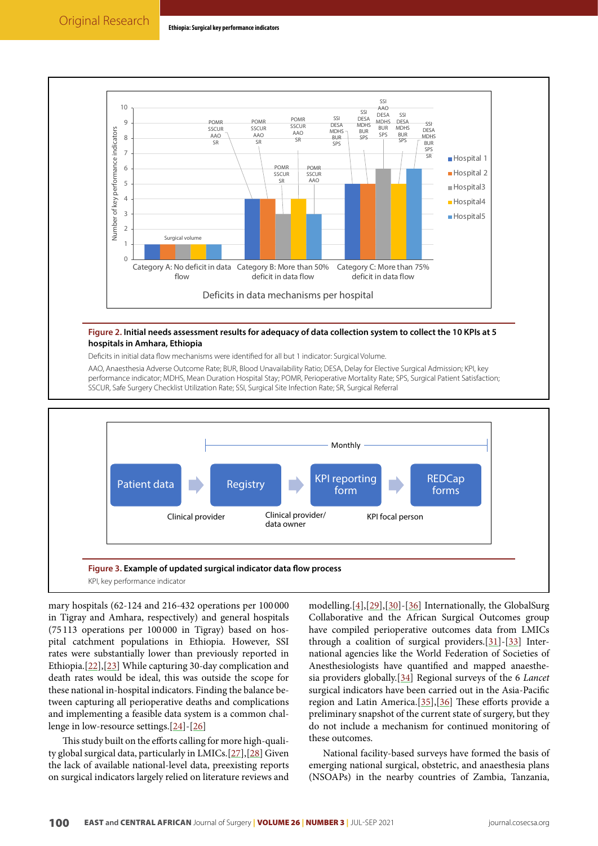<span id="page-8-0"></span>

#### **Figure 2. Initial needs assessment results for adequacy of data collection system to collect the 10 KPIs at 5 hospitals in Amhara, Ethiopia**

Deficits in initial data flow mechanisms were identified for all but 1 indicator: Surgical Volume.

AAO, Anaesthesia Adverse Outcome Rate; BUR, Blood Unavailability Ratio; DESA, Delay for Elective Surgical Admission; KPI, key performance indicator; MDHS, Mean Duration Hospital Stay; POMR, Perioperative Mortality Rate; SPS, Surgical Patient Satisfaction; SSCUR, Safe Surgery Checklist Utilization Rate; SSI, Surgical Site Infection Rate; SR, Surgical Referral

<span id="page-8-1"></span>

mary hospitals (62-124 and 216-432 operations per 100 000 in Tigray and Amhara, respectively) and general hospitals (75 113 operations per 100 000 in Tigray) based on hospital catchment populations in Ethiopia. However, SSI rates were substantially lower than previously reported in Ethiopia.[[22](#page-10-11)],[\[23](#page-10-12)] While capturing 30-day complication and death rates would be ideal, this was outside the scope for these national in-hospital indicators. Finding the balance between capturing all perioperative deaths and complications and implementing a feasible data system is a common challenge in low-resource settings.[\[24\]](#page-10-13)-[\[26\]](#page-10-14)

This study built on the efforts calling for more high-quality global surgical data, particularly in LMICs.[\[27\]](#page-10-15),[[28](#page-10-16)] Given the lack of available national-level data, preexisting reports on surgical indicators largely relied on literature reviews and

modelling.[\[4\]](#page-9-3),[[29\]](#page-10-17),[[30](#page-10-18)]-[[36](#page-10-19)] Internationally, the GlobalSurg Collaborative and the African Surgical Outcomes group have compiled perioperative outcomes data from LMICs through a coalition of surgical providers.[\[31\]](#page-10-20)-[\[33](#page-10-21)] International agencies like the World Federation of Societies of Anesthesiologists have quantified and mapped anaesthesia providers globally.[[34](#page-10-22)] Regional surveys of the 6 *Lancet* surgical indicators have been carried out in the Asia-Pacific region and Latin America.[\[35\]](#page-10-23),[[36\]](#page-10-19) These efforts provide a preliminary snapshot of the current state of surgery, but they do not include a mechanism for continued monitoring of these outcomes.

National facility-based surveys have formed the basis of emerging national surgical, obstetric, and anaesthesia plans (NSOAPs) in the nearby countries of Zambia, Tanzania,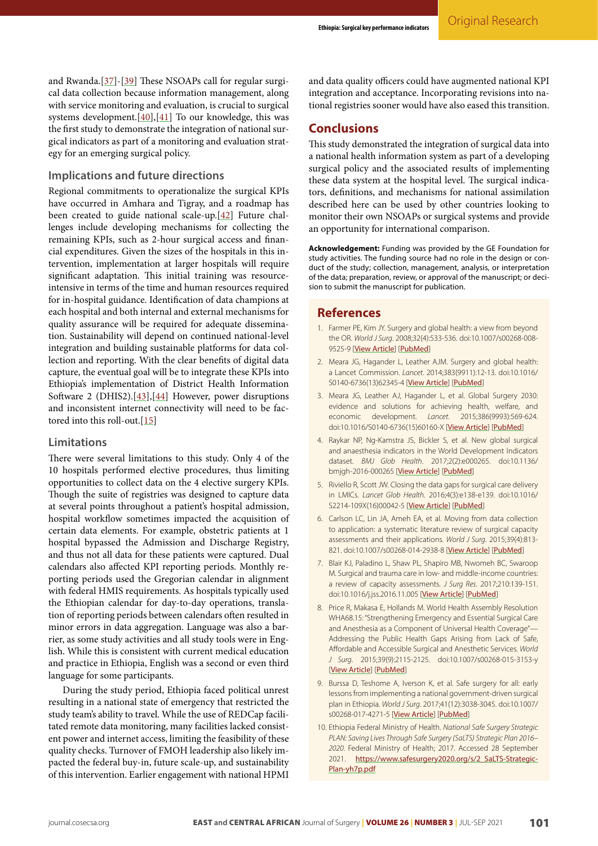and Rwanda.[[37](#page-10-24)]-[[39](#page-10-25)] These NSOAPs call for regular surgical data collection because information management, along with service monitoring and evaluation, is crucial to surgical systems development. $[40],[41]$  $[40],[41]$  $[40],[41]$  $[40],[41]$  $[40],[41]$  To our knowledge, this was the first study to demonstrate the integration of national surgical indicators as part of a monitoring and evaluation strategy for an emerging surgical policy.

## **Implications and future directions**

Regional commitments to operationalize the surgical KPIs have occurred in Amhara and Tigray, and a roadmap has been created to guide national scale-up.[[42](#page-11-1)] Future challenges include developing mechanisms for collecting the remaining KPIs, such as 2-hour surgical access and financial expenditures. Given the sizes of the hospitals in this intervention, implementation at larger hospitals will require significant adaptation. This initial training was resourceintensive in terms of the time and human resources required for in-hospital guidance. Identification of data champions at each hospital and both internal and external mechanisms for quality assurance will be required for adequate dissemination. Sustainability will depend on continued national-level integration and building sustainable platforms for data collection and reporting. With the clear benefits of digital data capture, the eventual goal will be to integrate these KPIs into Ethiopia's implementation of District Health Information Software 2 (DHIS2).<sup>[\[43\]](#page-11-2)</sup>,<sup>[[44](#page-11-3)]</sup> However, power disruptions and inconsistent internet connectivity will need to be factored into this roll-out.[\[15\]](#page-10-4)

### **Limitations**

There were several limitations to this study. Only 4 of the 10 hospitals performed elective procedures, thus limiting opportunities to collect data on the 4 elective surgery KPIs. Though the suite of registries was designed to capture data at several points throughout a patient's hospital admission, hospital workflow sometimes impacted the acquisition of certain data elements. For example, obstetric patients at 1 hospital bypassed the Admission and Discharge Registry, and thus not all data for these patients were captured. Dual calendars also affected KPI reporting periods. Monthly reporting periods used the Gregorian calendar in alignment with federal HMIS requirements. As hospitals typically used the Ethiopian calendar for day-to-day operations, translation of reporting periods between calendars often resulted in minor errors in data aggregation. Language was also a barrier, as some study activities and all study tools were in English. While this is consistent with current medical education and practice in Ethiopia, English was a second or even third language for some participants.

During the study period, Ethiopia faced political unrest resulting in a national state of emergency that restricted the study team's ability to travel. While the use of REDCap facilitated remote data monitoring, many facilities lacked consistent power and internet access, limiting the feasibility of these quality checks. Turnover of FMOH leadership also likely impacted the federal buy-in, future scale-up, and sustainability of this intervention. Earlier engagement with national HPMI

and data quality officers could have augmented national KPI integration and acceptance. Incorporating revisions into national registries sooner would have also eased this transition.

## **Conclusions**

This study demonstrated the integration of surgical data into a national health information system as part of a developing surgical policy and the associated results of implementing these data system at the hospital level. The surgical indicators, definitions, and mechanisms for national assimilation described here can be used by other countries looking to monitor their own NSOAPs or surgical systems and provide an opportunity for international comparison.

**Acknowledgement:** Funding was provided by the GE Foundation for study activities. The funding source had no role in the design or conduct of the study; collection, management, analysis, or interpretation of the data; preparation, review, or approval of the manuscript; or decision to submit the manuscript for publication.

## **References**

- <span id="page-9-0"></span>1. Farmer PE, Kim JY. Surgery and global health: a view from beyond the OR. *World J Surg*. 2008;32(4):533-536. doi:10.1007/s00268-008- 9525-9 [[View Article](https://doi.org/10.1007/s00268-008-9525-9)] [[PubMed](https://pubmed.ncbi.nlm.nih.gov/18311574/)]
- <span id="page-9-1"></span>2. Meara JG, Hagander L, Leather AJM. Surgery and global health: a Lancet Commission. *Lancet*. 2014;383(9911):12-13. doi:10.1016/ S0140-6736(13)62345-4 [[View Article](https://doi.org/10.1016/S0140-6736(13)62345-4)] [[PubMed](https://pubmed.ncbi.nlm.nih.gov/24332309/)]
- <span id="page-9-2"></span>3. Meara JG, Leather AJ, Hagander L, et al. Global Surgery 2030: evidence and solutions for achieving health, welfare, and economic development. *Lancet*. 2015;386(9993):569-624. doi:10.1016/S0140-6736(15)60160-X [[View Article](https://doi.org/10.1016/S0140-6736(15)60160-X)] [[PubMed](https://pubmed.ncbi.nlm.nih.gov/25924834/)]
- <span id="page-9-3"></span>4. Raykar NP, Ng-Kamstra JS, Bickler S, et al. New global surgical and anaesthesia indicators in the World Development Indicators dataset. *BMJ Glob Health*. 2017;2(2):e000265. doi:10.1136/ bmjgh-2016-000265 [[View Article](https://doi.org/10.1136/bmjgh-2016-000265)] [[PubMed](https://pubmed.ncbi.nlm.nih.gov/29225929/)]
- <span id="page-9-4"></span>5. Riviello R, Scott JW. Closing the data gaps for surgical care delivery in LMICs. *Lancet Glob Health*. 2016;4(3):e138-e139. doi:10.1016/ S2214-109X(16)00042-5 [[View Article](https://doi.org/10.1016/S2214-109X(16)00042-5)] [[PubMed](https://pubmed.ncbi.nlm.nih.gov/26916816/)]
- <span id="page-9-5"></span>6. Carlson LC, Lin JA, Ameh EA, et al. Moving from data collection to application: a systematic literature review of surgical capacity assessments and their applications. *World J Surg*. 2015;39(4):813- 821. doi:10.1007/s00268-014-2938-8 [[View Article](https://doi.org/10.1007/s00268-014-2938-8)] [[PubMed](https://pubmed.ncbi.nlm.nih.gov/25566980/)]
- <span id="page-9-6"></span>7. Blair KJ, Paladino L, Shaw PL, Shapiro MB, Nwomeh BC, Swaroop M. Surgical and trauma care in low- and middle-income countries: a review of capacity assessments. *J Surg Res*. 2017;210:139-151. doi:10.1016/j.jss.2016.11.005 [[View Article](https://doi.org/10.1016/j.jss.2016.11.005)] [[PubMed](https://pubmed.ncbi.nlm.nih.gov/28457320/)]
- <span id="page-9-7"></span>8. Price R, Makasa E, Hollands M. World Health Assembly Resolution WHA68.15: "Strengthening Emergency and Essential Surgical Care and Anesthesia as a Component of Universal Health Coverage"— Addressing the Public Health Gaps Arising from Lack of Safe, Affordable and Accessible Surgical and Anesthetic Services. *World J Surg*. 2015;39(9):2115-2125. doi:10.1007/s00268-015-3153-y [[View Article](https://doi.org/10.1007/s00268-015-3153-y)] [[PubMed](https://pubmed.ncbi.nlm.nih.gov/26239773/)]
- <span id="page-9-8"></span>9. Burssa D, Teshome A, Iverson K, et al. Safe surgery for all: early lessons from implementing a national government-driven surgical plan in Ethiopia. *World J Surg*. 2017;41(12):3038-3045. doi:10.1007/ s00268-017-4271-5 [[View Article](https://doi.org/10.1007/s00268-017-4271-5)] [[PubMed](https://pubmed.ncbi.nlm.nih.gov/29030677/)]
- <span id="page-9-9"></span>10. Ethiopia Federal Ministry of Health. *National Safe Surgery Strategic PLAN: Saving Lives Through Safe Surgery (SaLTS) Strategic Plan 2016– 2020*. Federal Ministry of Health; 2017. Accessed 28 September 2021. [https://www.safesurgery2020.org/s/2\\_SaLTS-Strategic-](https://www.safesurgery2020.org/s/2_SaLTS-Strategic-Plan-yh7p.pdf)[Plan-yh7p.pdf](https://www.safesurgery2020.org/s/2_SaLTS-Strategic-Plan-yh7p.pdf)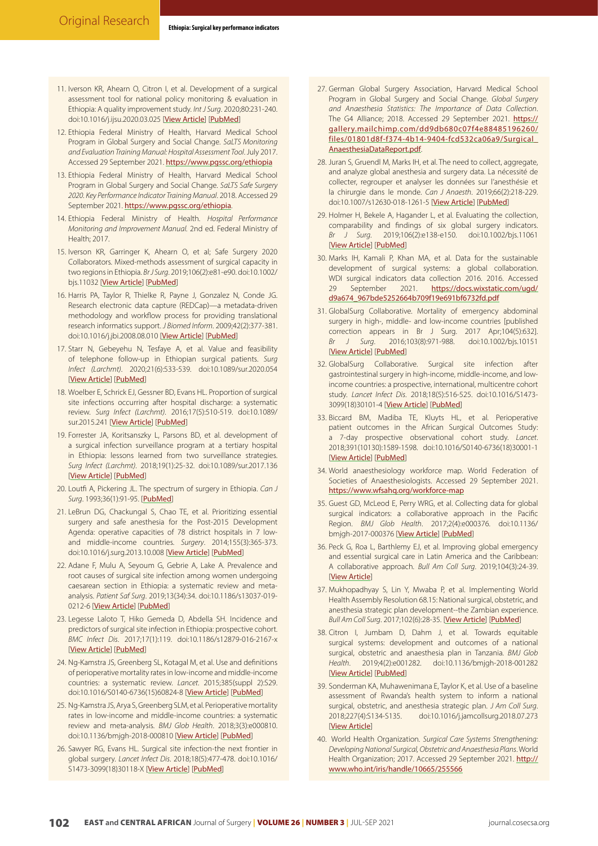- <span id="page-10-0"></span>11. Iverson KR, Ahearn O, Citron I, et al. Development of a surgical assessment tool for national policy monitoring & evaluation in Ethiopia: A quality improvement study. *Int J Surg*. 2020;80:231-240. doi:10.1016/j.ijsu.2020.03.025 [[View Article](https://doi.org/10.1016/j.ijsu.2020.03.025)] [[PubMed](https://pubmed.ncbi.nlm.nih.gov/32198096/)]
- <span id="page-10-1"></span>12. Ethiopia Federal Ministry of Health, Harvard Medical School Program in Global Surgery and Social Change. *SaLTS Monitoring and Evaluation Training Manual: Hospital Assessment Tool*. July 2017. Accessed 29 September 2021. <https://www.pgssc.org/ethiopia>
- <span id="page-10-2"></span>13. Ethiopia Federal Ministry of Health, Harvard Medical School Program in Global Surgery and Social Change. *SaLTS Safe Surgery 2020. Key Performance Indicator Training Manual*. 2018. Accessed 29 September 2021. <https://www.pgssc.org/ethiopia>.
- <span id="page-10-3"></span>14. Ethiopia Federal Ministry of Health. *Hospital Performance Monitoring and Improvement Manual.* 2nd ed. Federal Ministry of Health; 2017.
- <span id="page-10-4"></span>15. Iverson KR, Garringer K, Ahearn O, et al; Safe Surgery 2020 Collaborators. Mixed-methods assessment of surgical capacity in two regions in Ethiopia. *Br J Surg*. 2019;106(2):e81-e90. doi:10.1002/ bjs.11032 [[View Article](https://doi.org/10.1002/bjs.11032)] [[PubMed](https://pubmed.ncbi.nlm.nih.gov/30620064/)]
- <span id="page-10-5"></span>16. Harris PA, Taylor R, Thielke R, Payne J, Gonzalez N, Conde JG. Research electronic data capture (REDCap)—a metadata-driven methodology and workflow process for providing translational research informatics support. *J Biomed Inform*. 2009;42(2):377-381. doi:10.1016/j.jbi.2008.08.010 [[View Article](https://doi.org/10.1016/j.jbi.2008.08.010)] [[PubMed](https://pubmed.ncbi.nlm.nih.gov/18929686/)]
- <span id="page-10-6"></span>17. Starr N, Gebeyehu N, Tesfaye A, et al. Value and feasibility of telephone follow-up in Ethiopian surgical patients. *Surg Infect (Larchmt)*. 2020;21(6):533-539. doi:10.1089/sur.2020.054 [[View Article](https://doi.org/10.1089/sur.2020.054)] [[PubMed](https://pubmed.ncbi.nlm.nih.gov/32301651/)]
- <span id="page-10-7"></span>18. Woelber E, Schrick EJ, Gessner BD, Evans HL. Proportion of surgical site infections occurring after hospital discharge: a systematic review. *Surg Infect (Larchmt)*. 2016;17(5):510-519. doi:10.1089/ sur.2015.241 [[View Article](https://doi.org/10.1089/sur.2015.241)] [[PubMed](https://pubmed.ncbi.nlm.nih.gov/27463235/)]
- <span id="page-10-8"></span>19. Forrester JA, Koritsanszky L, Parsons BD, et al. development of a surgical infection surveillance program at a tertiary hospital in Ethiopia: lessons learned from two surveillance strategies. *Surg Infect (Larchmt)*. 2018;19(1):25-32. doi:10.1089/sur.2017.136 [[View Article](https://doi.org/10.1089/sur.2017.136)] [[PubMed](https://pubmed.ncbi.nlm.nih.gov/29135348/)]
- <span id="page-10-9"></span>20. Loutfi A, Pickering JL. The spectrum of surgery in Ethiopia. *Can J Surg*. 1993;36(1):91-95. [[PubMed](https://pubmed.ncbi.nlm.nih.gov/8443727/)]
- <span id="page-10-10"></span>21. LeBrun DG, Chackungal S, Chao TE, et al. Prioritizing essential surgery and safe anesthesia for the Post-2015 Development Agenda: operative capacities of 78 district hospitals in 7 lowand middle-income countries. *Surgery*. 2014;155(3):365-373. doi:10.1016/j.surg.2013.10.008 [[View Article](https://doi.org/10.1016/j.surg.2013.10.008)] [[PubMed](https://pubmed.ncbi.nlm.nih.gov/24439745/)]
- <span id="page-10-11"></span>22. Adane F, Mulu A, Seyoum G, Gebrie A, Lake A. Prevalence and root causes of surgical site infection among women undergoing caesarean section in Ethiopia: a systematic review and metaanalysis. *Patient Saf Surg*. 2019;13(34):34. doi:10.1186/s13037-019- 0212-6 [[View Article](https://doi.org/10.1186/s13037-019-0212-6)] [[PubMed](https://pubmed.ncbi.nlm.nih.gov/31673291/)]
- <span id="page-10-12"></span>23. Legesse Laloto T, Hiko Gemeda D, Abdella SH. Incidence and predictors of surgical site infection in Ethiopia: prospective cohort. *BMC Infect Dis*. 2017;17(1):119. doi:10.1186/s12879-016-2167-x [[View Article](https://doi.org/10.1186/s12879-016-2167-x)] [[PubMed](https://pubmed.ncbi.nlm.nih.gov/28158998/)]
- <span id="page-10-13"></span>24. Ng-Kamstra JS, Greenberg SL, Kotagal M, et al. Use and definitions of perioperative mortality rates in low-income and middle-income countries: a systematic review. *Lancet*. 2015;385(suppl 2):S29. doi:10.1016/S0140-6736(15)60824-8 [[View Article](https://doi.org/10.1016/S0140-6736(15)60824-8)] [[PubMed](https://pubmed.ncbi.nlm.nih.gov/26313076/)]
- 25. Ng-Kamstra JS, Arya S, Greenberg SLM, et al. Perioperative mortality rates in low-income and middle-income countries: a systematic review and meta-analysis. *BMJ Glob Health*. 2018;3(3):e000810. doi:10.1136/bmjgh-2018-000810 [[View Article](https://doi.org/10.1136/bmjgh-2018-000810)] [[PubMed](https://pubmed.ncbi.nlm.nih.gov/29989045/)]
- <span id="page-10-14"></span>26. Sawyer RG, Evans HL. Surgical site infection-the next frontier in global surgery. *Lancet Infect Dis*. 2018;18(5):477-478. doi:10.1016/ S1473-3099(18)30118-X [[View Article](https://doi.org/10.1016/S1473-3099(18)30118-X)] [[PubMed](https://pubmed.ncbi.nlm.nih.gov/29452939/)]
- <span id="page-10-15"></span>27. German Global Surgery Association, Harvard Medical School Program in Global Surgery and Social Change. *Global Surgery and Anaesthesia Statistics: The Importance of Data Collection*. The G4 Alliance; 2018. Accessed 29 September 2021. [https://](https://gallery.mailchimp.com/dd9db680c07f4e88485196260/files/01801d8f-f374-4b14-9404-fcd532ca06a9/Surgical_AnaesthesiaDataReport.pdf) [gallery.mailchimp.com/dd9db680c07f4e88485196260/](https://gallery.mailchimp.com/dd9db680c07f4e88485196260/files/01801d8f-f374-4b14-9404-fcd532ca06a9/Surgical_AnaesthesiaDataReport.pdf) [files/01801d8f-f374-4b14-9404-fcd532ca06a9/Surgical\\_](https://gallery.mailchimp.com/dd9db680c07f4e88485196260/files/01801d8f-f374-4b14-9404-fcd532ca06a9/Surgical_AnaesthesiaDataReport.pdf) [AnaesthesiaDataReport.pdf](https://gallery.mailchimp.com/dd9db680c07f4e88485196260/files/01801d8f-f374-4b14-9404-fcd532ca06a9/Surgical_AnaesthesiaDataReport.pdf).
- <span id="page-10-16"></span>28. Juran S, Gruendl M, Marks IH, et al. The need to collect, aggregate, and analyze global anesthesia and surgery data. La nécessité de collecter, regrouper et analyser les données sur l'anesthésie et la chirurgie dans le monde. *Can J Anaesth*. 2019;66(2):218-229. doi:10.1007/s12630-018-1261-5 [[View Article](https://doi.org/10.1007/s12630-018-1261-5)] [[PubMed](https://pubmed.ncbi.nlm.nih.gov/30484168/)]
- <span id="page-10-17"></span>29. Holmer H, Bekele A, Hagander L, et al. Evaluating the collection, comparability and findings of six global surgery indicators. *Br J Surg*. 2019;106(2):e138-e150. doi:10.1002/bjs.11061 [[View Article](https://doi.org/10.1002/bjs.11061)] [[PubMed](https://pubmed.ncbi.nlm.nih.gov/30570764/)]
- <span id="page-10-18"></span>30. Marks IH, Kamali P, Khan MA, et al. Data for the sustainable development of surgical systems: a global collaboration. WDI surgical indicators data collection 2016. 2016. Accessed 29 September 2021. [https://docs.wixstatic.com/ugd/](https://docs.wixstatic.com/ugd/d9a674_967bde5252664b709f19e691bf6732fd.pdf) [d9a674\\_967bde5252664b709f19e691bf6732fd.pdf](https://docs.wixstatic.com/ugd/d9a674_967bde5252664b709f19e691bf6732fd.pdf)
- <span id="page-10-20"></span>31. GlobalSurg Collaborative. Mortality of emergency abdominal surgery in high-, middle- and low-income countries [published correction appears in Br J Surg. 2017 Apr;104(5):632]. *Br J Surg*. 2016;103(8):971-988. doi:10.1002/bjs.10151 [[View Article](https://doi.org/10.1002/bjs.10151)] [[PubMed](https://pubmed.ncbi.nlm.nih.gov/27145169/)]
- 32. GlobalSurg Collaborative. Surgical site infection after gastrointestinal surgery in high-income, middle-income, and lowincome countries: a prospective, international, multicentre cohort study. *Lancet Infect Dis*. 2018;18(5):516-525. doi:10.1016/S1473- 3099(18)30101-4 [[View Article](https://doi.org/10.1016/s1473-3099(18)30101-4)] [[PubMed](https://pubmed.ncbi.nlm.nih.gov/29452941/)]
- <span id="page-10-21"></span>33. Biccard BM, Madiba TE, Kluyts HL, et al. Perioperative patient outcomes in the African Surgical Outcomes Study: a 7-day prospective observational cohort study. *Lancet*. 2018;391(10130):1589-1598. doi:10.1016/S0140-6736(18)30001-1 [[View Article](https://doi.org/10.1016/s0140-6736(18)30001-1)] [[PubMed](https://pubmed.ncbi.nlm.nih.gov/29306587/)]
- <span id="page-10-22"></span>34. World anaesthesiology workforce map. World Federation of Societies of Anaesthesiologists. Accessed 29 September 2021. <https://www.wfsahq.org/workforce-map>
- <span id="page-10-23"></span>35. Guest GD, McLeod E, Perry WRG, et al. Collecting data for global surgical indicators: a collaborative approach in the Pacific Region. *BMJ Glob Health*. 2017;2(4):e000376. doi:10.1136/ bmjgh-2017-000376 [[View Article](https://doi.org/10.1136/bmjgh-2017-000376)] [[PubMed](https://pubmed.ncbi.nlm.nih.gov/29225948/)]
- <span id="page-10-19"></span>36. Peck G, Roa L, Barthlemy EJ, et al. Improving global emergency and essential surgical care in Latin America and the Caribbean: A collaborative approach. *Bull Am Coll Surg*. 2019;104(3):24-39. [[View Article](https://bulletin.facs.org/2019/03/improving-global-emergency-and-essential-surgical-care-in-latin-america-and-the-caribbean-a-collaborative-approach/)]
- <span id="page-10-24"></span>37. Mukhopadhyay S, Lin Y, Mwaba P, et al. Implementing World Health Assembly Resolution 68.15: National surgical, obstetric, and anesthesia strategic plan development--the Zambian experience. *Bull Am Coll Surg*. 2017;102(6):28-35. [[View Article](https://bulletin.facs.org/2017/06/implementing-world-health-assembly-resolution-68-15/)] [[PubMed](https://pubmed.ncbi.nlm.nih.gov/28885807/)]
- 38. Citron I, Jumbam D, Dahm J, et al. Towards equitable surgical systems: development and outcomes of a national surgical, obstetric and anaesthesia plan in Tanzania. *BMJ Glob Health*. 2019;4(2):e001282. doi:10.1136/bmjgh-2018-001282 [[View Article](https://doi.org/10.1136/bmjgh-2018-001282)] [[PubMed](https://pubmed.ncbi.nlm.nih.gov/31139445/)]
- <span id="page-10-25"></span>39. Sonderman KA, Muhawenimana E, Taylor K, et al. Use of a baseline assessment of Rwanda's health system to inform a national surgical, obstetric, and anesthesia strategic plan. *J Am Coll Surg*. 2018;227(4):S134-S135. doi:10.1016/j.jamcollsurg.2018.07.273 [[View Article](https://doi.org/10.1016/j.jamcollsurg.2018.07.273)]
- <span id="page-10-26"></span>40. World Health Organization. *Surgical Care Systems Strengthening: Developing National Surgical, Obstetric and Anaesthesia Plans*. World Health Organization; 2017. Accessed 29 September 2021. [http://](http://www.who.int/iris/handle/10665/255566) [www.who.int/iris/handle/10665/255566](http://www.who.int/iris/handle/10665/255566)